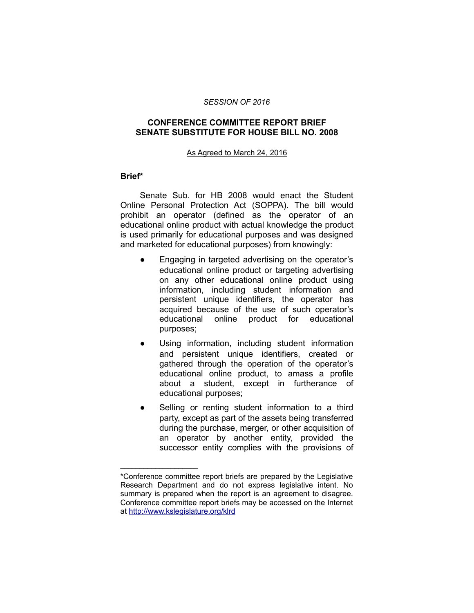### *SESSION OF 2016*

## **CONFERENCE COMMITTEE REPORT BRIEF SENATE SUBSTITUTE FOR HOUSE BILL NO. 2008**

### As Agreed to March 24, 2016

## **Brief\***

Senate Sub. for HB 2008 would enact the Student Online Personal Protection Act (SOPPA). The bill would prohibit an operator (defined as the operator of an educational online product with actual knowledge the product is used primarily for educational purposes and was designed and marketed for educational purposes) from knowingly:

- Engaging in targeted advertising on the operator's educational online product or targeting advertising on any other educational online product using information, including student information and persistent unique identifiers, the operator has acquired because of the use of such operator's educational online product for educational purposes;
- Using information, including student information and persistent unique identifiers, created or gathered through the operation of the operator's educational online product, to amass a profile about a student, except in furtherance of educational purposes;
- Selling or renting student information to a third party, except as part of the assets being transferred during the purchase, merger, or other acquisition of an operator by another entity, provided the successor entity complies with the provisions of

 $\mathcal{L}=\{1,2,3,4,5\}$ 

<sup>\*</sup>Conference committee report briefs are prepared by the Legislative Research Department and do not express legislative intent. No summary is prepared when the report is an agreement to disagree. Conference committee report briefs may be accessed on the Internet at<http://www.kslegislature.org/klrd>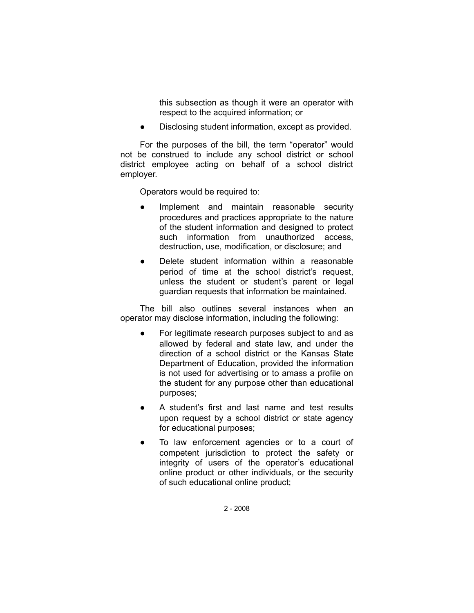this subsection as though it were an operator with respect to the acquired information; or

Disclosing student information, except as provided.

For the purposes of the bill, the term "operator" would not be construed to include any school district or school district employee acting on behalf of a school district employer.

Operators would be required to:

- Implement and maintain reasonable security procedures and practices appropriate to the nature of the student information and designed to protect such information from unauthorized access, destruction, use, modification, or disclosure; and
- Delete student information within a reasonable period of time at the school district's request, unless the student or student's parent or legal guardian requests that information be maintained.

The bill also outlines several instances when an operator may disclose information, including the following:

- For legitimate research purposes subject to and as allowed by federal and state law, and under the direction of a school district or the Kansas State Department of Education, provided the information is not used for advertising or to amass a profile on the student for any purpose other than educational purposes;
- A student's first and last name and test results upon request by a school district or state agency for educational purposes;
- To law enforcement agencies or to a court of competent jurisdiction to protect the safety or integrity of users of the operator's educational online product or other individuals, or the security of such educational online product;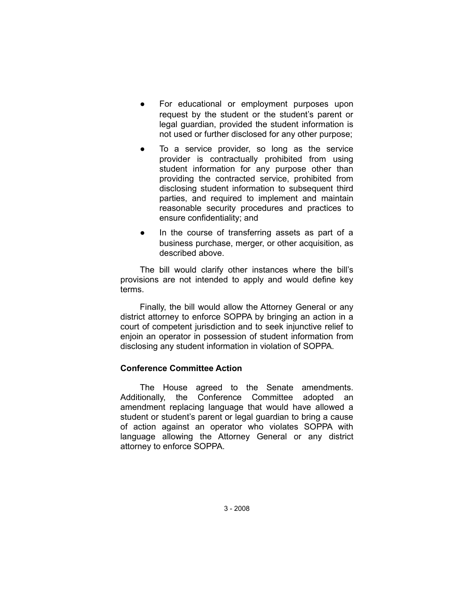- For educational or employment purposes upon request by the student or the student's parent or legal guardian, provided the student information is not used or further disclosed for any other purpose;
- To a service provider, so long as the service provider is contractually prohibited from using student information for any purpose other than providing the contracted service, prohibited from disclosing student information to subsequent third parties, and required to implement and maintain reasonable security procedures and practices to ensure confidentiality; and
- In the course of transferring assets as part of a business purchase, merger, or other acquisition, as described above.

The bill would clarify other instances where the bill's provisions are not intended to apply and would define key terms.

Finally, the bill would allow the Attorney General or any district attorney to enforce SOPPA by bringing an action in a court of competent jurisdiction and to seek injunctive relief to enjoin an operator in possession of student information from disclosing any student information in violation of SOPPA.

# **Conference Committee Action**

The House agreed to the Senate amendments. Additionally, the Conference Committee adopted an amendment replacing language that would have allowed a student or student's parent or legal guardian to bring a cause of action against an operator who violates SOPPA with language allowing the Attorney General or any district attorney to enforce SOPPA.